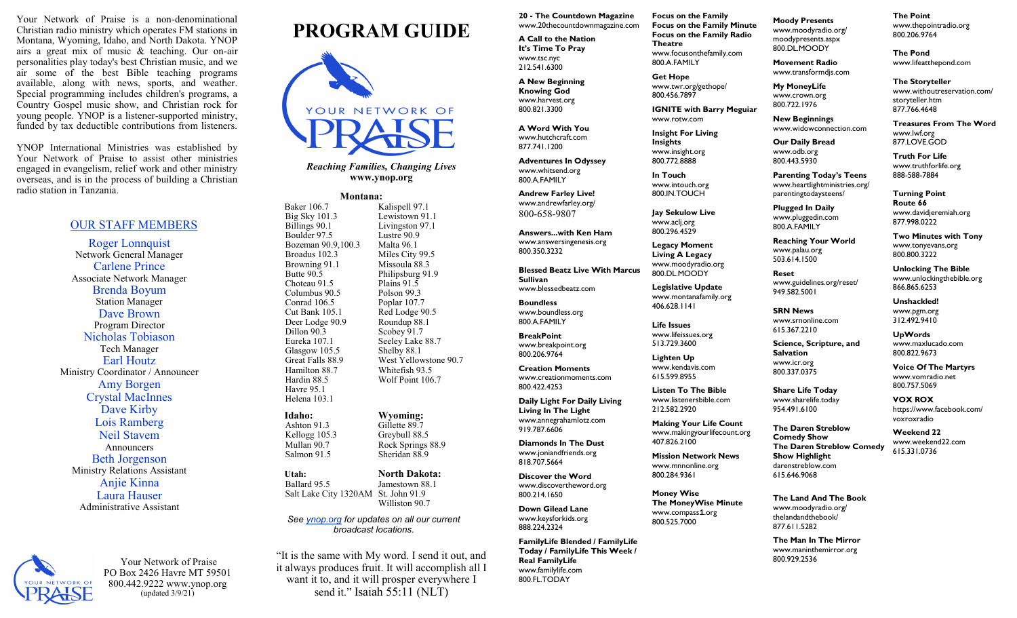Your Network of Praise is a non-denominational Christian radio ministry which operates FM stations in Montana, Wyoming, Idaho, and North Dakota. YNOP airs a great mix of music & teaching. Our on-air personalities play today's best Christian music, and we air some of the best Bible teaching programs available, along with news, sports, and weather. Special programming includes children's programs, a Country Gospel music show, and Christian rock for young people. YNOP is a listener-supported ministry, funded by tax deductible contributions from listeners.

YNOP International Ministries was established by Your Network of Praise to assist other ministries engaged in evangelism, relief work and other ministry overseas, and is in the process of building a Christian radio station in Tanzania.

### OUR STAFF MEMBERS

Roger Lonnquist Network General Manager Carlene Prince Associate Network Manager Brenda Boyum Station Manager Dave Brown Program Director Nicholas Tobiason Tech Manager Earl Houtz Ministry Coordinator / Announcer Amy Borgen Crystal MacInnes Dave Kirby Lois Ramberg Neil Stavem Announcers Beth Jorgenson Ministry Relations Assistant Anjie Kinna Laura Hauser Administrative Assistant



Your Network of Praise PO Box 2426 Havre MT 59501 800.442.9222 www.ynop.org (updated 3/9/21)

# **PROGRAM GUIDE**



*Reaching Families, Changing Lives* **www.ynop.org**

## **Montana:**<br>Baker 106.7 K

**Kalispell 97.1**  Big Sky 101.3 Lewistown 91.1 Billings 90.1 Livingston 97.1 Boulder 97.5 Lustre 90.9<br>Bozeman 90.9,100.3 Malta 96.1 Bozeman 90.9,100.3 Broadus 102.3 Miles City 99.5 Browning 91.1 Missoula 88.3 Butte 90.5 Philipsburg 91.9<br>Choteau 91.5 Plains 91.5 Choteau 91.5 Columbus 90.5 Polson 99.3 Conrad 106.5 Poplar 107.7 Cut Bank 105.1 Red Lodge 90.5 Deer Lodge 90.9 Roundup 88.1 Dillon 90.3 Scobey 91.7 Eureka 107.1 Seeley Lake 88.7<br>Glasgow 105.5 Shelby 88.1 Glasgow 105.5 Great Falls 88.9 West Yellowstone 90.7 Hamilton 88.7 Whitefish 93.5 Hardin 88.5 Wolf Point 106.7 Havre 95.1

Helena 103.1

Kellogg 105.3<br>Mullan 90.7

**Idaho: Wyoming:**<br>Ashton 91.3 **Gillette 89.7** Ashton 91.3 Gillette 89.7<br>Kellogg 105.3 Greybull 88.5 Rock Springs 88.9 Salmon 91.5 Sheridan 88.9

 **Utah: North Dakota:** Ballard 95.5 Jamestown 88.1 Salt Lake City 1320AM St. John 91.9 Williston 90.7

*See [ynop.org](http://www.ynop.org) for updates on all our current broadcast locations.*

"It is the same with My word. I send it out, and it always produces fruit. It will accomplish all I want it to, and it will prosper everywhere I send it." Isaiah 55:11 (NLT)

**20 - The Countdown Magazine** www.20thecountdownmagazine.com

**A Call to the Nation It's Time To Pray** [www.tsc.nyc](http://www.tscnyc.org/) 212.541.6300

**A New Beginning Knowing God**  www.harvest.org 800.821.3300

**A Word With You** www.hutchcraft.com

877.741.1200

**Adventures In Odyssey**  www.whitsend.org 800.A.FAMILY

**Andrew Farley Live!** www.andrewfarley.org/ 800-658-9807

**Answers...with Ken Ham** www.answersingenesis.org 800.350.3232

**Blessed Beatz Live With Marcus Sullivan** [www.blessedbeatz.com](http://www.blessedbeatz.com/) 

**Boundless** www.boundless.org 800.A.FAMILY

**BreakPoint** www.breakpoint.org 800.206.9764

**Creation Moments** www.creationmoments.com 800.422.4253

**Daily Light For Daily Living Living In The Light** www.annegrahamlotz.com 919.787.6606

**Diamonds In The Dust** www.joniandfriends.org 818.707.5664

**Discover the Word** www.discovertheword.org 800.214.1650

**Down Gilead Lane** www.keysforkids.org 888.224.2324

**FamilyLife Blended / FamilyLife Today / FamilyLife This Week / Real FamilyLife** www.familylife.com 800.FL.TODAY

**Moody Presents** www.moodyradio.org/ **Focus on the Family Focus on the Family Minute Focus on the Family Radio Theatre** www.focusonthefamily.com 800.A.FAMILY

**Get Hope** [www.twr.org/gethope/](http://www.twr.org/gethope/)  800.456.7897

**IGNITE with Barry Meguiar**  www.rotw.com

**Insight For Living Insights**  www.insight.org 800.772.8888

**In Touch**  www.intouch.org 800.IN.TOUCH

**Jay Sekulow Live** www.acli.org 800.296.4529

**Legacy Moment Living A Legacy** www.moodyradio.org 800.DL.MOODY

**Legislative Update** www.montanafamily.org 406.628.1141

**Life Issues**  www.lifeissues.org 513.729.3600

**Lighten Up** www.kendavis.com 615.599.8955

**Listen To The Bible** www.listenersbible.com 212.582.2920

**Making Your Life Count** www.makingyourlifecount.org 407.826.2100

**Mission Network News** www.mnnonline.org 800.284.9361

**Money Wise The MoneyWise Minute** www.compass1.org 800.525.7000

moodypresents.aspx 800.DL.MOODY **Movement Radio**

www.transformdjs.com **My MoneyLife**

www.crown.org 800.722.1976

**New Beginnings** www.widowconnection.com

> parentingtodaysteens/ **Plugged In Daily** www.pluggedin.com 800.A.FAMILY

**Reaching Your World** www.palau.org 503.614.1500 **Reset**

www.guidelines.org/reset/

**Science, Scripture, and**

**Share Life Today** www.sharelife.today 954.491.6100

**The Daren Streblow Comedy Show**

**Show Highlight**  darenstreblow.com 615.646.9068

949.582.5001 **SRN News** www.srnonline.com 615.367.2210

**Salvation**  www.icr.org 800.337.0375

**Our Daily Bread** www.odb.org

> 800.443.5930 **Parenting Today's Teens** www.heartlightministries.org/

> > **Turning Point Route 66** www.davidjeremiah.org 877.998.0222

**Two Minutes with Tony** www.tonyevans.org 800.800.3222

**Unlocking The Bible** www.unlockingthebible.org 866.865.6253

**Unshackled!** www.pgm.org 312.492.9410

**UpWords** www.maxlucado.com 800.822.9673

**Voice Of The Martyrs** [www.vomradio.net](http://www.vomradio.net/) 800.757.5069

**VOX ROX** [https://www.facebook.com/](https://www.facebook.com/voxroxradio) [voxroxradio](https://www.facebook.com/voxroxradio)

**The Daren Streblow Comedy Weekend 22** www.weekend22.com 615.331.0736

**The Land And The Book** www.moodyradio.org/ thelandandthebook/ 877.611.5282

**The Man In The Mirror** www.maninthemirror.org 800.929.2536

**The Point** www.thepointradio.org 800.206.9764

**The Pond** www.lifeatthepond.com

**The Storyteller** www.withoutreservation.com/ storyteller.htm 877.766.4648

**Treasures From The Word** www.lwf.org 877.LOVE.GOD

**Truth For Life** www.truthforlife.org 888-588-7884